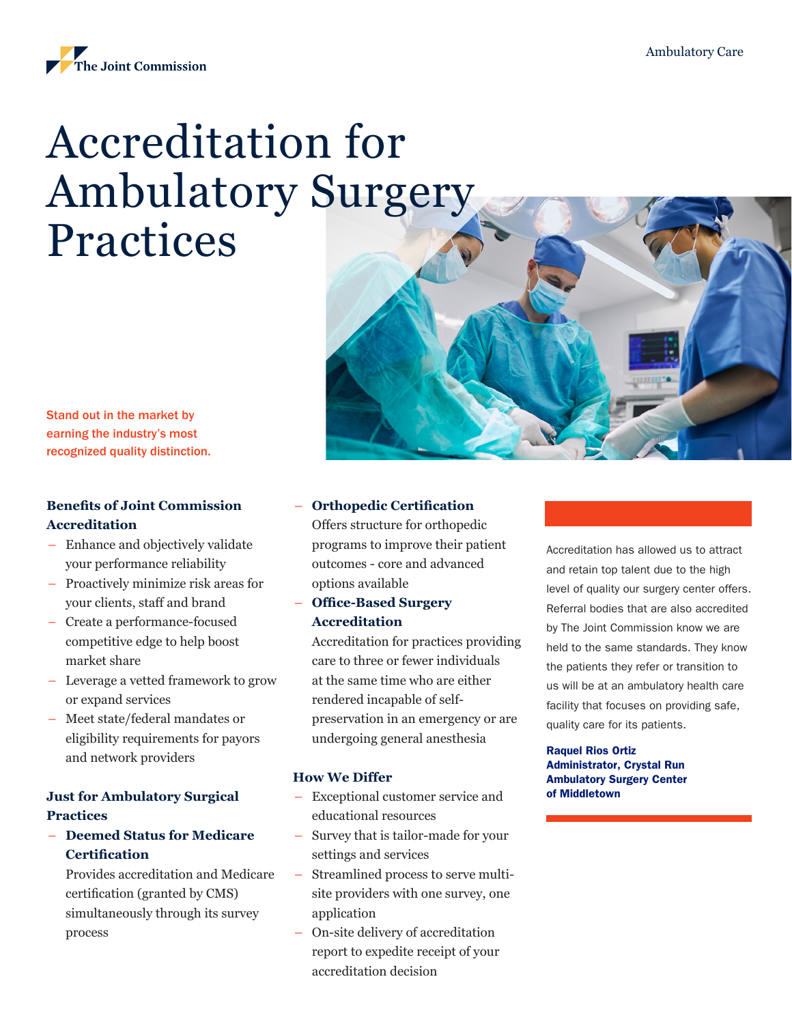

# Accreditation for Ambulatory Surgery Practices

Stand out in the market by earning the industry's most recognized quality distinction.

## **Benefits of Joint Commission Accreditation**

- Enhance and objectively validate your performance reliability
- Proactively minimize risk areas for your clients, staff and brand
- Create a performance-focused competitive edge to help boost market share
- Leverage a vetted framework to grow or expand services
- Meet state/federal mandates or eligibility requirements for payors and network providers

## **Just for Ambulatory Surgical Practices**

– **Deemed Status for Medicare Certification**

Provides accreditation and Medicare certification (granted by CMS) simultaneously through its survey process

## – **Orthopedic Certification**

Offers structure for orthopedic programs to improve their patient outcomes - core and advanced options available

– **Office-Based Surgery Accreditation**

Accreditation for practices providing care to three or fewer individuals at the same time who are either rendered incapable of selfpreservation in an emergency or are undergoing general anesthesia

#### **How We Differ**

- Exceptional customer service and educational resources
- Survey that is tailor-made for your settings and services
- Streamlined process to serve multisite providers with one survey, one application
- On-site delivery of accreditation report to expedite receipt of your accreditation decision

Accreditation has allowed us to attract and retain top talent due to the high level of quality our surgery center offers. Referral bodies that are also accredited by The Joint Commission know we are held to the same standards. They know the patients they refer or transition to us will be at an ambulatory health care facility that focuses on providing safe, quality care for its patients.

#### Raquel Rios Ortiz Administrator, Crystal Run Ambulatory Surgery Center of Middletown